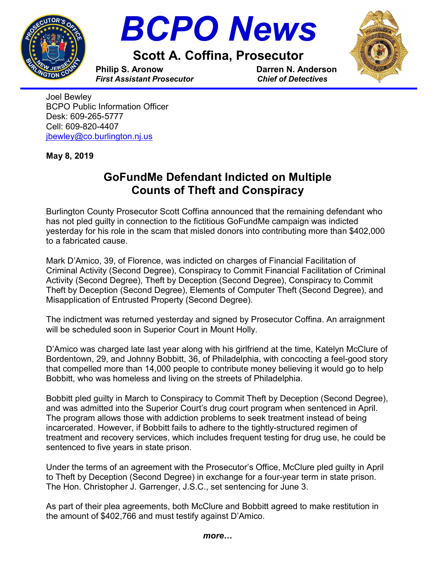



Scott A. Coffina, Prosecutor



Philip S. Aronow Darren N. Anderson First Assistant Prosecutor Chief of Detectives

i. Joel Bewley BCPO Public Information Officer Desk: 609-265-5777 Cell: 609-820-4407 jbewley@co.burlington.nj.us

May 8, 2019

## GoFundMe Defendant Indicted on Multiple Counts of Theft and Conspiracy

Burlington County Prosecutor Scott Coffina announced that the remaining defendant who has not pled guilty in connection to the fictitious GoFundMe campaign was indicted yesterday for his role in the scam that misled donors into contributing more than \$402,000 to a fabricated cause.

Mark D'Amico, 39, of Florence, was indicted on charges of Financial Facilitation of Criminal Activity (Second Degree), Conspiracy to Commit Financial Facilitation of Criminal Activity (Second Degree), Theft by Deception (Second Degree), Conspiracy to Commit Theft by Deception (Second Degree), Elements of Computer Theft (Second Degree), and Misapplication of Entrusted Property (Second Degree).

The indictment was returned yesterday and signed by Prosecutor Coffina. An arraignment will be scheduled soon in Superior Court in Mount Holly.

D'Amico was charged late last year along with his girlfriend at the time, Katelyn McClure of Bordentown, 29, and Johnny Bobbitt, 36, of Philadelphia, with concocting a feel-good story that compelled more than 14,000 people to contribute money believing it would go to help Bobbitt, who was homeless and living on the streets of Philadelphia.

Bobbitt pled guilty in March to Conspiracy to Commit Theft by Deception (Second Degree), and was admitted into the Superior Court's drug court program when sentenced in April. The program allows those with addiction problems to seek treatment instead of being incarcerated. However, if Bobbitt fails to adhere to the tightly-structured regimen of treatment and recovery services, which includes frequent testing for drug use, he could be sentenced to five years in state prison.

Under the terms of an agreement with the Prosecutor's Office, McClure pled guilty in April to Theft by Deception (Second Degree) in exchange for a four-year term in state prison. The Hon. Christopher J. Garrenger, J.S.C., set sentencing for June 3.

As part of their plea agreements, both McClure and Bobbitt agreed to make restitution in the amount of \$402,766 and must testify against D'Amico.